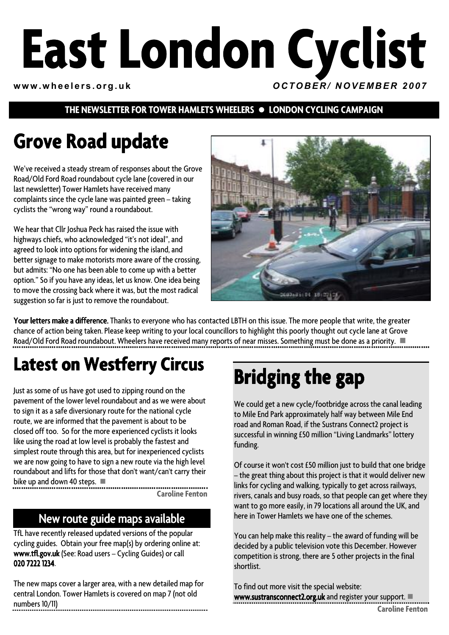# **East London Cyclist www.wheelers.org.uk** *OCTOBER/ NOVEMBER 2007*

**THE NEWSLETTER FOR TOWER HAMLETS WHEELERS • LONDON CYCLING CAMPAIGN** 

## **Grove Road update**

We've received a steady stream of responses about the Grove Road/Old Ford Road roundabout cycle lane (covered in our last newsletter) Tower Hamlets have received many complaints since the cycle lane was painted green – taking cyclists the "wrong way" round a roundabout.

We hear that Cllr Joshua Peck has raised the issue with highways chiefs, who acknowledged "it's not ideal", and agreed to look into options for widening the island, and better signage to make motorists more aware of the crossing, but admits: "No one has been able to come up with a better option." So if you have any ideas, let us know. One idea being to move the crossing back where it was, but the most radical suggestion so far is just to remove the roundabout.



Your letters make a difference. Thanks to everyone who has contacted LBTH on this issue. The more people that write, the greater chance of action being taken. Please keep writing to your local councillors to highlight this poorly thought out cycle lane at Grove Road/Old Ford Road roundabout. Wheelers have received many reports of near misses. Something must be done as a priority.  $\blacksquare$ 

### **Latest on Westferry Circus**

Just as some of us have got used to zipping round on the pavement of the lower level roundabout and as we were about to sign it as a safe diversionary route for the national cycle route, we are informed that the pavement is about to be closed off too. So for the more experienced cyclists it looks like using the road at low level is probably the fastest and simplest route through this area, but for inexperienced cyclists we are now going to have to sign a new route via the high level roundabout and lifts for those that don't want/can't carry their bike up and down 40 steps.  $\blacksquare$ 

**Caroline Fenton** 

#### New route guide maps available

TfL have recently released updated versions of the popular cycling guides. Obtain your free map(s) by ordering online at: www.tfl.gov.uk (See: Road users - Cycling Guides) or call 020 7222 1234. 020 7222 1234

The new maps cover a larger area, with a new detailed map for central London. Tower Hamlets is covered on map 7 (not old numbers 10/11)

# **Bridging the gap gap**

We could get a new cycle/footbridge across the canal leading to Mile End Park approximately half way between Mile End road and Roman Road, if the Sustrans Connect2 project is successful in winning £50 million "Living Landmarks" lottery funding.

Of course it won't cost £50 million just to build that one bridge – the great thing about this project is that it would deliver new links for cycling and walking, typically to get across railways, rivers, canals and busy roads, so that people can get where they want to go more easily, in 79 locations all around the UK, and here in Tower Hamlets we have one of the schemes.

You can help make this reality – the award of funding will be decided by a public television vote this December. However competition is strong, there are 5 other projects in the final shortlist.

To find out more visit the special website: www.sustransconnect2.org.uk and register your support. **Caroline Fenton**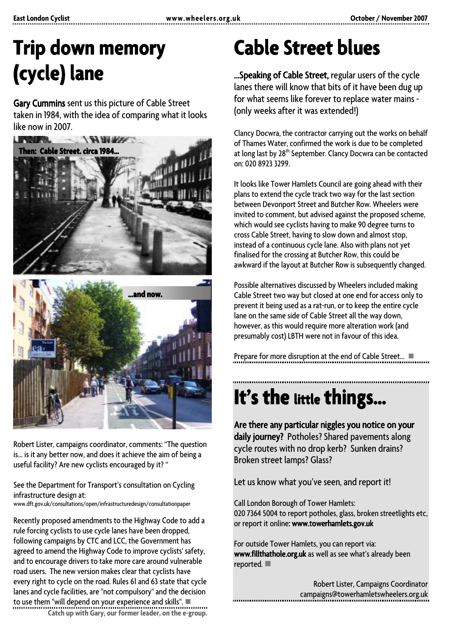### **Trip down memory (cycle) lane lane (cycle) lane**

Gary Cummins sent us this picture of Cable Street taken in 1984, with the idea of comparing what it looks like now in 2007.





Robert Lister, campaigns coordinator, comments: "The question is… is it any better now, and does it achieve the aim of being a useful facility? Are new cyclists encouraged by it? "

See the Department for Transport's consultation on Cycling infrastructure design at:

www.dft.gov.uk/consultations/open/infrastructuredesign/consultationpaper

Recently proposed amendments to the Highway Code to add a rule forcing cyclists to use cycle lanes have been dropped, following campaigns by CTC and LCC, the Government has agreed to amend the Highway Code to improve cyclists' safety, and to encourage drivers to take more care around vulnerable road users. The new version makes clear that cyclists have every right to cycle on the road. Rules 61 and 63 state that cycle lanes and cycle facilities, are "not compulsory" and the decision to use them "will depend on your experience and skills".  $\blacksquare$ **Catch up with Gary, our former leader, on the e-group.** 

### **Cable Street blues**

... Speaking of Cable Street, regular users of the cycle lanes there will know that bits of it have been dug up for what seems like forever to replace water mains - (only weeks after it was extended!)

Clancy Docwra, the contractor carrying out the works on behalf of Thames Water, confirmed the work is due to be completed at long last by 28<sup>th</sup> September. Clancy Docwra can be contacted on: 020 8923 3299.

It looks like Tower Hamlets Council are going ahead with their plans to extend the cycle track two way for the last section between Devonport Street and Butcher Row. Wheelers were invited to comment, but advised against the proposed scheme, which would see cyclists having to make 90 degree turns to cross Cable Street, having to slow down and almost stop, instead of a continuous cycle lane. Also with plans not yet finalised for the crossing at Butcher Row, this could be awkward if the layout at Butcher Row is subsequently changed.

Possible alternatives discussed by Wheelers included making Cable Street two way but closed at one end for access only to prevent it being used as a rat-run, or to keep the entire cycle lane on the same side of Cable Street all the way down, however, as this would require more alteration work (and presumably cost) LBTH were not in favour of this idea.

Prepare for more disruption at the end of Cable Street...

# **It's the little things...**

Are there any particular niggles you notice on your daily journey? Potholes? Shared pavements along cycle routes with no drop kerb? Sunken drains? Broken street lamps? Glass?

Let us know what you've seen, and report it!

Call London Borough of Tower Hamlets: 020 7364 5004 to report potholes, glass, broken streetlights etc, or report it online: www.towerhamlets.gov.uk

For outside Tower Hamlets, you can report via: www.fillthathole.org.uk as well as see what's already been  $reported.$ 

Robert Lister, Campaigns Coordinator campaigns@towerhamletswheelers.org.uk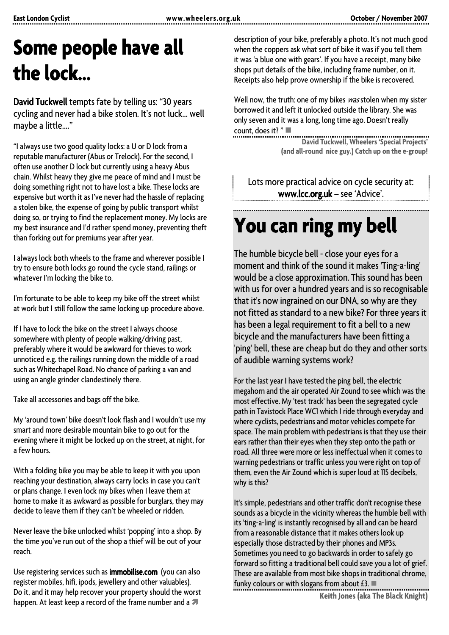### **Some people have all the lock… lock… the lock…**

David Tuckwell tempts fate by telling us: "30 years cycling and never had a bike stolen. It's not luck… well maybe a little…."

"I always use two good quality locks: a U or D lock from a reputable manufacturer (Abus or Trelock). For the second, I often use another D lock but currently using a heavy Abus chain. Whilst heavy they give me peace of mind and I must be doing something right not to have lost a bike. These locks are expensive but worth it as I've never had the hassle of replacing a stolen bike, the expense of going by public transport whilst doing so, or trying to find the replacement money. My locks are my best insurance and I'd rather spend money, preventing theft than forking out for premiums year after year.

I always lock both wheels to the frame and wherever possible I try to ensure both locks go round the cycle stand, railings or whatever I'm locking the bike to.

I'm fortunate to be able to keep my bike off the street whilst at work but I still follow the same locking up procedure above.

If I have to lock the bike on the street I always choose somewhere with plenty of people walking/driving past, preferably where it would be awkward for thieves to work unnoticed e.g. the railings running down the middle of a road such as Whitechapel Road. No chance of parking a van and using an angle grinder clandestinely there.

Take all accessories and bags off the bike.

My 'around town' bike doesn't look flash and I wouldn't use my smart and more desirable mountain bike to go out for the evening where it might be locked up on the street, at night, for a few hours.

With a folding bike you may be able to keep it with you upon reaching your destination, always carry locks in case you can't or plans change. I even lock my bikes when I leave them at home to make it as awkward as possible for burglars, they may decide to leave them if they can't be wheeled or ridden.

Never leave the bike unlocked whilst 'popping' into a shop. By the time you've run out of the shop a thief will be out of your reach.

Use registering services such as immobilise.com (you can also register mobiles, hifi, ipods, jewellery and other valuables). Do it, and it may help recover your property should the worst happen. At least keep a record of the frame number and a

description of your bike, preferably a photo. It's not much good when the coppers ask what sort of bike it was if you tell them it was 'a blue one with gears'. If you have a receipt, many bike shops put details of the bike, including frame number, on it. Receipts also help prove ownership if the bike is recovered.

Well now, the truth: one of my bikes was stolen when my sister borrowed it and left it unlocked outside the library. She was only seven and it was a long, long time ago. Doesn't really count, does it?  $" \blacksquare$ 

**David Tuckwell, Wheelers 'Special Projects' (and all-round nice guy.) Catch up on the e-group!** 

Lots more practical advice on cycle security at: www.lcc.org.uk – see 'Advice'.

# **You can ring my bell bell**

The humble bicycle bell - close your eyes for a moment and think of the sound it makes 'Ting-a-ling' would be a close approximation. This sound has been with us for over a hundred years and is so recognisable that it's now ingrained on our DNA, so why are they not fitted as standard to a new bike? For three years it has been a legal requirement to fit a bell to a new bicycle and the manufacturers have been fitting a 'ping' bell, these are cheap but do they and other sorts of audible warning systems work?

For the last year I have tested the ping bell, the electric megahorn and the air operated Air Zound to see which was the most effective. My 'test track' has been the segregated cycle path in Tavistock Place WC1 which I ride through everyday and where cyclists, pedestrians and motor vehicles compete for space. The main problem with pedestrians is that they use their ears rather than their eyes when they step onto the path or road. All three were more or less ineffectual when it comes to warning pedestrians or traffic unless you were right on top of them, even the Air Zound which is super loud at 115 decibels, why is this?

It's simple, pedestrians and other traffic don't recognise these sounds as a bicycle in the vicinity whereas the humble bell with its 'ting-a-ling' is instantly recognised by all and can be heard from a reasonable distance that it makes others look up especially those distracted by their phones and MP3s. Sometimes you need to go backwards in order to safely go forward so fitting a traditional bell could save you a lot of grief. These are available from most bike shops in traditional chrome, funky colours or with slogans from about  $f3.$